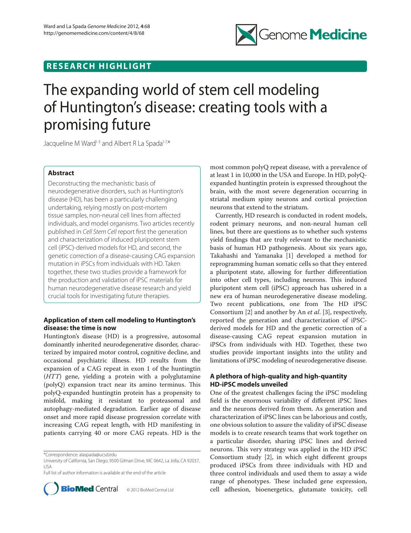

## **RESEARCH HIGHLIGHT**

# The expanding world of stem cell modeling of Huntington's disease: creating tools with a promising future

Jacqueline M Ward<sup>1-3</sup> and Albert R La Spada<sup>1-7,\*</sup>

### **Abstract**

Deconstructing the mechanistic basis of neurodegenerative disorders, such as Huntington's disease (HD), has been a particularly challenging undertaking, relying mostly on post-mortem tissue samples, non-neural cell lines from affected individuals, and model organisms. Two articles recently published in *Cell Stem Cell* report first the generation and characterization of induced pluripotent stem cell (iPSC)-derived models for HD, and second, the genetic correction of a disease-causing CAG expansion mutation in iPSCs from individuals with HD. Taken together, these two studies provide a framework for the production and validation of iPSC materials for human neurodegenerative disease research and yield crucial tools for investigating future therapies.

## **Application of stem cell modeling to Huntington's disease: the time is now**

Huntington's disease (HD) is a progressive, autosomal dominantly inherited neurodegenerative disorder, characterized by impaired motor control, cognitive decline, and occasional psychiatric illness. HD results from the expansion of a CAG repeat in exon 1 of the huntingtin (*HTT*) gene, yielding a protein with a polyglutamine  $(polyQ)$  expansion tract near its amino terminus. This polyQ-expanded huntingtin protein has a propensity to misfold, making it resistant to proteasomal and autophagy-mediated degradation. Earlier age of disease onset and more rapid disease progression correlate with increasing CAG repeat length, with HD manifesting in patients carrying 40 or more CAG repeats. HD is the

Full list of author information is available at the end of the article



most common polyQ repeat disease, with a prevalence of at least 1 in 10,000 in the USA and Europe. In HD, polyQexpanded huntingtin protein is expressed throughout the brain, with the most severe degeneration occurring in striatal medium spiny neurons and cortical projection neurons that extend to the striatum.

Currently, HD research is conducted in rodent models, rodent primary neurons, and non-neural human cell lines, but there are questions as to whether such systems yield findings that are truly relevant to the mechanistic basis of human HD pathogenesis. About six years ago, Takahashi and Yamanaka [1] developed a method for reprogramming human somatic cells so that they entered a pluripotent state, allowing for further differentiation into other cell types, including neurons. This induced pluripotent stem cell (iPSC) approach has ushered in a new era of human neurodegenerative disease modeling. Two recent publications, one from The HD iPSC Consortium [2] and another by An *et al*. [3], respectively, reported the generation and characterization of iPSCderived models for HD and the genetic correction of a disease-causing CAG repeat expansion mutation in iPSCs from individuals with HD. Together, these two studies provide important insights into the utility and limitations of iPSC modeling of neurodegenerative disease.

## **A plethora of high-quality and high-quantity HD-iPSC models unveiled**

One of the greatest challenges facing the iPSC modeling field is the enormous variability of different iPSC lines and the neurons derived from them. As generation and characterization of iPSC lines can be laborious and costly, one obvious solution to assure the validity of iPSC disease models is to create research teams that work together on a particular disorder, sharing iPSC lines and derived neurons. This very strategy was applied in the HD iPSC Consortium study [2], in which eight different groups produced iPSCs from three individuals with HD and three control individuals and used them to assay a wide range of phenotypes. These included gene expression, cell adhesion, bioenergetics, glutamate toxicity, cell

<sup>\*</sup>Correspondence: alaspada@ucsd.edu

University of California, San Diego, 9500 Gilman Drive, MC 0642, La Jolla, CA 92037, USA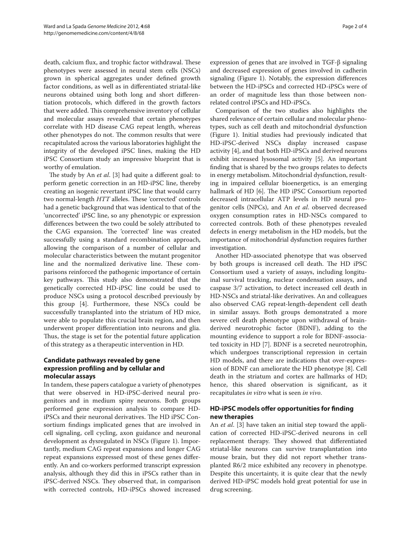death, calcium flux, and trophic factor withdrawal. These phenotypes were assessed in neural stem cells (NSCs) grown in spherical aggregates under defined growth factor conditions, as well as in differentiated striatal-like neurons obtained using both long and short differentiation protocols, which differed in the growth factors that were added. This comprehensive inventory of cellular and molecular assays revealed that certain phenotypes correlate with HD disease CAG repeat length, whereas other phenotypes do not. The common results that were recapitulated across the various laboratories highlight the integrity of the developed iPSC lines, making the HD iPSC Consortium study an impressive blueprint that is worthy of emulation.

The study by An *et al*. [3] had quite a different goal: to perform genetic correction in an HD-iPSC line, thereby creating an isogenic revertant iPSC line that would carry two normal-length *HTT* alleles. These 'corrected' controls had a genetic background that was identical to that of the 'uncorrected' iPSC line, so any phenotypic or expression differences between the two could be solely attributed to the CAG expansion. The 'corrected' line was created successfully using a standard recombination approach, allowing the comparison of a number of cellular and molecular characteristics between the mutant progenitor line and the normalized derivative line. These comparisons reinforced the pathogenic importance of certain key pathways. This study also demonstrated that the genetically corrected HD-iPSC line could be used to produce NSCs using a protocol described previously by this group [4]. Furthermore, these NSCs could be successfully transplanted into the striatum of HD mice, were able to populate this crucial brain region, and then underwent proper differentiation into neurons and glia. Thus, the stage is set for the potential future application of this strategy as a therapeutic intervention in HD.

## **Candidate pathways revealed by gene expression profiling and by cellular and molecular assays**

In tandem, these papers catalogue a variety of phenotypes that were observed in HD-iPSC-derived neural progenitors and in medium spiny neurons. Both groups performed gene expression analysis to compare HDiPSCs and their neuronal derivatives. The HD iPSC Consortium findings implicated genes that are involved in cell signaling, cell cycling, axon guidance and neuronal development as dysregulated in NSCs (Figure 1). Importantly, medium CAG repeat expansions and longer CAG repeat expansions expressed most of these genes differently. An and co-workers performed transcript expression analysis, although they did this in iPSCs rather than in iPSC-derived NSCs. They observed that, in comparison with corrected controls, HD-iPSCs showed increased

expression of genes that are involved in TGF-β signaling and decreased expression of genes involved in cadherin signaling (Figure 1). Notably, the expression differences between the HD-iPSCs and corrected HD-iPSCs were of an order of magnitude less than those between nonrelated control iPSCs and HD-iPSCs.

Comparison of the two studies also highlights the shared relevance of certain cellular and molecular phenotypes, such as cell death and mitochondrial dysfunction (Figure 1). Initial studies had previously indicated that HD-iPSC-derived NSCs display increased caspase activity [4], and that both HD-iPSCs and derived neurons exhibit increased lysosomal activity [5]. An important finding that is shared by the two groups relates to defects in energy metabolism. Mitochondrial dysfunction, resulting in impaired cellular bioenergetics, is an emerging hallmark of HD [6]. The HD iPSC Consortium reported decreased intracellular ATP levels in HD neural progenitor cells (NPCs), and An *et al*. observed decreased oxygen consumption rates in HD-NSCs compared to corrected controls. Both of these phenotypes revealed defects in energy metabolism in the HD models, but the importance of mitochondrial dysfunction requires further investigation.

Another HD-associated phenotype that was observed by both groups is increased cell death. The HD iPSC Consortium used a variety of assays, including longituinal survival tracking, nuclear condensation assays, and caspase 3/7 activation, to detect increased cell death in HD-NSCs and striatal-like derivatives. An and colleagues also observed CAG repeat-length-dependent cell death in similar assays. Both groups demonstrated a more severe cell death phenotype upon withdrawal of brainderived neurotrophic factor (BDNF), adding to the mounting evidence to support a role for BDNF-associated toxicity in HD [7]. BDNF is a secreted neurotrophin, which undergoes transcriptional repression in certain HD models, and there are indications that over-expression of BDNF can ameliorate the HD phenotype [8]. Cell death in the striatum and cortex are hallmarks of HD; hence, this shared observation is significant, as it recapitulates *in vitro* what is seen *in vivo*.

## **HD-iPSC models offer opportunities for finding new therapies**

An *et al*. [3] have taken an initial step toward the application of corrected HD-iPSC-derived neurons in cell replacement therapy. They showed that differentiated striatal-like neurons can survive transplantation into mouse brain, but they did not report whether transplanted R6/2 mice exhibited any recovery in phenotype. Despite this uncertainty, it is quite clear that the newly derived HD-iPSC models hold great potential for use in drug screening.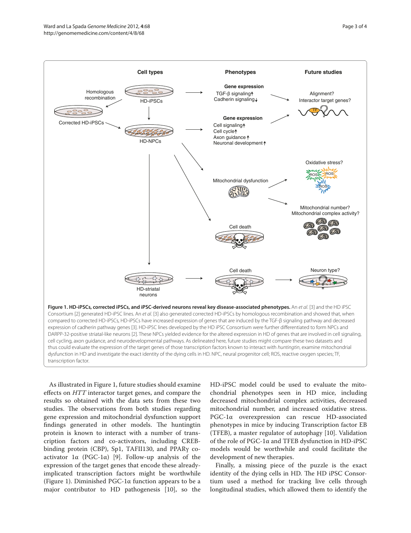

As illustrated in Figure 1, future studies should examine effects on *HTT* interactor target genes, and compare the results so obtained with the data sets from these two studies. The observations from both studies regarding gene expression and mitochondrial dysfunction support findings generated in other models. The huntingtin protein is known to interact with a number of transcription factors and co-activators, including CREBbinding protein (CBP), Sp1, TAFII130, and PPARγ coactivator  $1\alpha$  (PGC-1 $\alpha$ ) [9]. Follow-up analysis of the expression of the target genes that encode these alreadyimplicated transcription factors might be worthwhile (Figure 1). Diminished PGC-1α function appears to be a major contributor to HD pathogenesis [10], so the

HD-iPSC model could be used to evaluate the mitochondrial phenotypes seen in HD mice, including decreased mitochondrial complex activities, decreased mitochondrial number, and increased oxidative stress. PGC-1α overexpression can rescue HD-associated phenotypes in mice by inducing Transcription factor EB (TFEB), a master regulator of autophagy [10]. Validation of the role of PGC-1α and TFEB dysfunction in HD-iPSC models would be worthwhile and could facilitate the development of new therapies.

Finally, a missing piece of the puzzle is the exact identity of the dying cells in HD. The HD iPSC Consortium used a method for tracking live cells through longitudinal studies, which allowed them to identify the